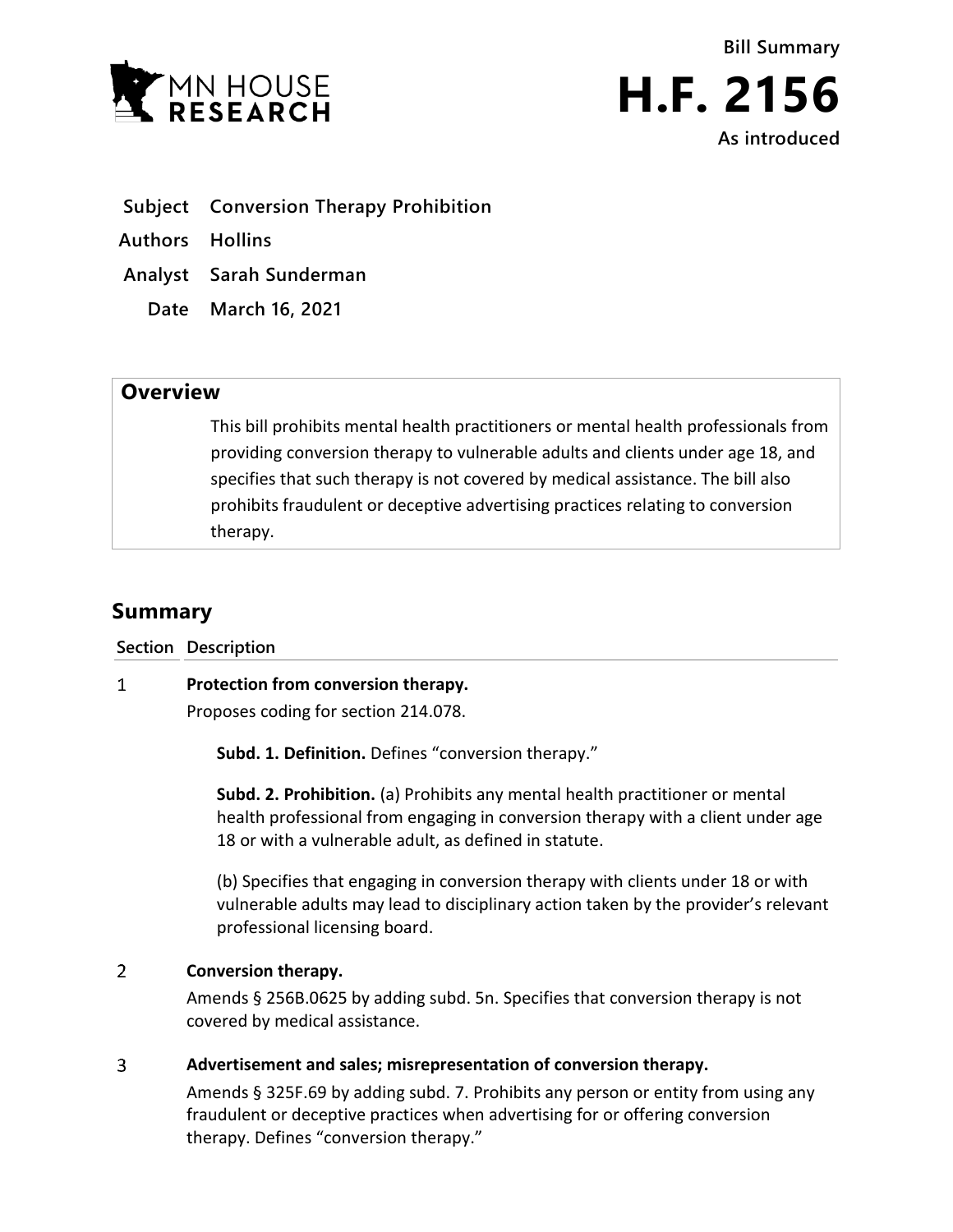



- **Subject Conversion Therapy Prohibition**
- **Authors Hollins**
- **Analyst Sarah Sunderman**
	- **Date March 16, 2021**

## **Overview**

This bill prohibits mental health practitioners or mental health professionals from providing conversion therapy to vulnerable adults and clients under age 18, and specifies that such therapy is not covered by medical assistance. The bill also prohibits fraudulent or deceptive advertising practices relating to conversion therapy.

# **Summary**

**Section Description**

#### $\mathbf{1}$ **Protection from conversion therapy.**

Proposes coding for section 214.078.

**Subd. 1. Definition.** Defines "conversion therapy."

**Subd. 2. Prohibition.** (a) Prohibits any mental health practitioner or mental health professional from engaging in conversion therapy with a client under age 18 or with a vulnerable adult, as defined in statute.

(b) Specifies that engaging in conversion therapy with clients under 18 or with vulnerable adults may lead to disciplinary action taken by the provider's relevant professional licensing board.

#### $\overline{2}$ **Conversion therapy.**

Amends § 256B.0625 by adding subd. 5n. Specifies that conversion therapy is not covered by medical assistance.

### $\overline{3}$ **Advertisement and sales; misrepresentation of conversion therapy.**

Amends § 325F.69 by adding subd. 7. Prohibits any person or entity from using any fraudulent or deceptive practices when advertising for or offering conversion therapy. Defines "conversion therapy."